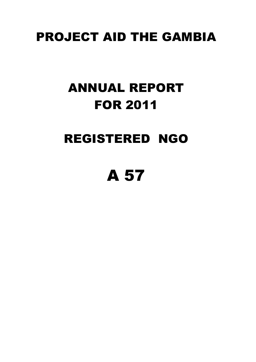## PROJECT AID THE GAMBIA

## ANNUAL REPORT FOR 2011

## REGISTERED NGO

# A 57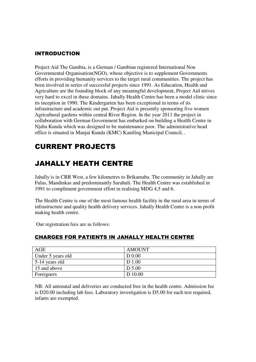#### INTRODUCTION

Project Aid The Gambia, is a German / Gambian registered International Non Governmental Organisation(NGO), whose objective is to supplement Governments efforts in providing humanity services to the target rural communities. The project has been involved in series of successful projects since 1991. As Education, Health and Agriculture are the founding block of any meaningful development, Project Aid strives very hard to excel in these domains. Jahally Health Centre has been a model clinic since its inception in 1990. The Kindergarten has been exceptional in terms of its infrastructure and academic out put. Project Aid is presently sponsoring five women Agricultural gardens within central River Region. In the year 2011 the project in collaboration with German Government has embarked on building a Health Centre in Njaba Kunda which was designed to be maintenance poor. The administrative head office is situated in Manjai Kunda (KMC) Kanifing Municipal Council, .

### CURRENT PROJECTS

## JAHALLY HEATH CENTRE

Jahally is in CRR West, a few kilometres to Brikamaba. The community in Jahally are Fulas, Mandinkas and predominantly Sarahuli. The Health Centre was established in 1991 to compliment government effort in realising MDG 4,5 and 6.

The Health Centre is one of the most famous health facility in the rural area in terms of infrastructure and quality health delivery services. Jahally Health Centre is a non profit making health centre.

Our registration fees are as follows:

| AGE                    | AMOUNT            |
|------------------------|-------------------|
| Under 5 years old      | D <sub>0.00</sub> |
| $\vert$ 5-14 years old | D 1.00            |
| 15 and above           | D 5.00            |
| Foreigners             | D 10.00           |

#### CHARGES FOR PATIENTS IN JAHALLY HEALTH CENTRE

NB: All antenatal and deliveries are conducted free in the health centre. Admission fee is D20.00 including lab fees. Laboratory investigation is D5.00 for each test required, infants are exempted.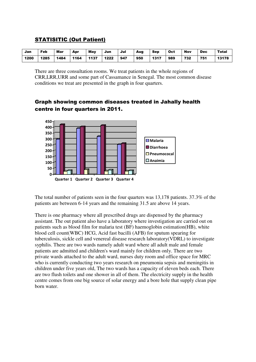#### STATISITIC (Out Patient)

| Jan  | Feb  | Mar  | Apr  | <b>May</b> | Jun  | Jul | Aug | Sep  | Oct | <b>Nov</b> | <b>Dec</b> | <b>Total</b> |
|------|------|------|------|------------|------|-----|-----|------|-----|------------|------------|--------------|
| 1200 | 1285 | 1484 | 1164 | 1137       | 1222 | 947 | 950 | 1317 | 989 | 732        | 751        | 13178        |

There are three consultation rooms. We treat patients in the whole regions of CRR,LRR,URR and some part of Cassamance in Senegal. The most common disease conditions we treat are presented in the graph in four quarters.

#### Graph showing common diseases treated in Jahally health centre in four quarters in 2011.



The total number of patients seen in the four quarters was 13,178 patients. 37.3% of the patients are between 6-14 years and the remaining 31.5 are above 14 years.

There is one pharmacy where all prescribed drugs are dispensed by the pharmacy assistant. The out patient also have a laboratory where investigation are carried out on patients such as blood film for malaria test (BF) haemoglobin estimation(HB), white blood cell count(WBC) HCG, Acid fast bacilli (AFB) for sputum spearing for tuberculosis, sickle cell and venereal disease research laboratory(VDRL) to investigate syphilis. There are two wards namely adult ward where all adult male and female patients are admitted and children's ward mainly for children only. There are two private wards attached to the adult ward, nurses duty room and office space for MRC who is currently conducting two years research on pneumonia sepsis and meningitis in children under five years old, The two wards has a capacity of eleven beds each. There are two flush toilets and one shower in all of them. The electricity supply in the health centre comes from one big source of solar energy and a bore hole that supply clean pipe born water.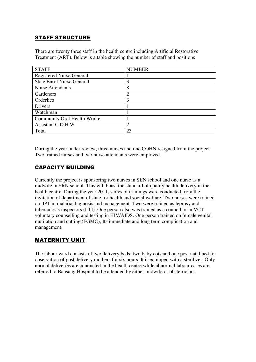#### STAFF STRUCTURE

There are twenty three staff in the health centre including Artificial Restorative Treatment (ART). Below is a table showing the number of staff and positions

| <b>STAFF</b>                        | <b>NUMBER</b>               |
|-------------------------------------|-----------------------------|
| <b>Registered Nurse General</b>     |                             |
| <b>State Enrol Nurse General</b>    | 3                           |
| <b>Nurse Attendants</b>             | 8                           |
| Gardeners                           | $\overline{2}$              |
| Orderlies                           | 3                           |
| Drivers                             |                             |
| Watchman                            |                             |
| <b>Community Oral Health Worker</b> |                             |
| Assistant COHW                      | $\mathcal{D}_{\mathcal{L}}$ |
| Total                               | 23                          |

During the year under review, three nurses and one COHN resigned from the project. Two trained nurses and two nurse attendants were employed.

#### CAPACITY BUILDING

Currently the project is sponsoring two nurses in SEN school and one nurse as a midwife in SRN school. This will boast the standard of quality health delivery in the health centre. During the year 2011, series of trainings were conducted from the invitation of department of state for health and social welfare. Two nurses were trained on. IPT in malaria diagnosis and management. Two were trained as leprosy and tuberculosis inspectors (LTI). One person also was trained as a councillor in VCT voluntary counselling and testing in HIV/AIDS. One person trained on female genital mutilation and cutting (FGMC), Its immediate and long term complication and management.

#### MATERNITY UNIT

The labour ward consists of two delivery beds, two baby cots and one post natal bed for observation of post delivery mothers for six hours. It is equipped with a sterilizer. Only normal deliveries are conducted in the health centre while abnormal labour cases are referred to Bansang Hospital to be attended by either midwife or obstetricians.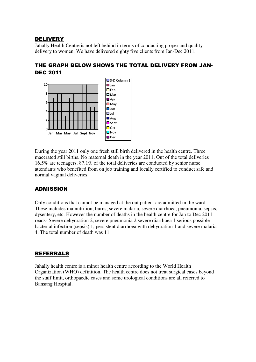#### DELIVERY

Jahally Health Centre is not left behind in terms of conducting proper and quality delivery to women. We have delivered eighty five clients from Jan-Dec 2011.

#### THE GRAPH BELOW SHOWS THE TOTAL DELIVERY FROM JAN-DEC 2011



During the year 2011 only one fresh still birth delivered in the health centre. Three macerated still births. No maternal death in the year 2011. Out of the total deliveries 16.5% are teenagers. 87.1% of the total deliveries are conducted by senior nurse attendants who benefited from on job training and locally certified to conduct safe and normal vaginal deliveries.

#### ADMISSION

Only conditions that cannot be managed at the out patient are admitted in the ward. These includes malnutrition, burns, severe malaria, severe diarrhoea, pneumonia, sepsis, dysentery, etc. However the number of deaths in the health centre for Jan to Dec 2011 reads- Severe dehydration 2, severe pneumonia 2 severe diarrhoea 1 serious possible bacterial infection (sepsis) 1, persistent diarrhoea with dehydration 1 and severe malaria 4. The total number of death was 11.

#### **REFERRALS**

Jahally health centre is a minor health centre according to the World Health Organization (WHO) definition. The health centre does not treat surgical cases beyond the staff limit, orthopaedic cases and some urological conditions are all referred to Bansang Hospital.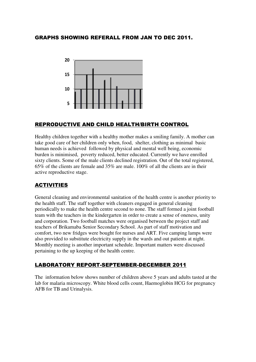#### GRAPHS SHOWING REFERALL FROM JAN TO DEC 2011.



#### REPRODUCTIVE AND CHILD HEALTH/BIRTH CONTROL

Healthy children together with a healthy mother makes a smiling family. A mother can take good care of her children only when, food, shelter, clothing as minimal basic human needs is achieved followed by physical and mental well being, economic burden is minimised, poverty reduced, better educated. Currently we have enrolled sixty clients. Some of the male clients declined registration. Out of the total registered, 65% of the clients are female and 35% are male. 100% of all the clients are in their active reproductive stage.

#### ACTIVITIES

General cleaning and environmental sanitation of the health centre is another priority to the health staff. The staff together with cleaners engaged in general cleaning periodically to make the health centre second to none. The staff formed a joint football team with the teachers in the kindergarten in order to create a sense of oneness, unity and corporation. Two football matches were organised between the project staff and teachers of Brikamaba Senior Secondary School. As part of staff motivation and comfort, two new fridges were bought for nurses and ART. Five camping lamps were also provided to substitute electricity supply in the wards and out patients at night. Monthly meeting is another important schedule. Important matters were discussed pertaining to the up keeping of the health centre.

#### LABORATORY REPORT-SEPTEMBER-DECEMBER 2011

The information below shows number of children above 5 years and adults tasted at the lab for malaria microscopy. White blood cells count, Haemoglobin HCG for pregnancy AFB for TB and Urinalysis.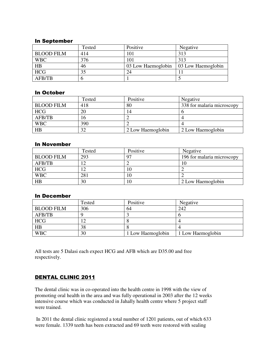#### In September

|                   | Tested | Positive           | Negative           |
|-------------------|--------|--------------------|--------------------|
| <b>BLOOD FILM</b> | 414    | 101                | 313                |
| <b>WBC</b>        | 376    | 101                | 313                |
| HB                | 46     | 03 Low Haemoglobin | 03 Low Haemoglobin |
| HCG               |        | 24                 |                    |
| AFB/TB            |        |                    |                    |

#### In October

|                   | Tested | Positive          | Negative                   |
|-------------------|--------|-------------------|----------------------------|
| <b>BLOOD FILM</b> | 418    | 80                | 338 for malaria microscopy |
| <b>HCG</b>        | 20     | 14                |                            |
| AFB/TB            | ۱b     |                   |                            |
| <b>WBC</b>        | 390    |                   |                            |
| HB                | 32     | 2 Low Haemoglobin | 2 Low Haemoglobin          |

#### In November

|                   | Tested | Positive | Negative                   |
|-------------------|--------|----------|----------------------------|
| <b>BLOOD FILM</b> | 293    | 97       | 196 for malaria microscopy |
| AFB/TB            | 12     |          | 10                         |
| <b>HCG</b>        |        | 10       |                            |
| <b>WBC</b>        | 281    | 10       |                            |
| HB                | 30     | 10       | 2 Low Haemoglobin          |

#### In December

|                   | Tested | Positive          | Negative          |
|-------------------|--------|-------------------|-------------------|
| <b>BLOOD FILM</b> | 306    | 64                | 242               |
| AFB/TB            |        |                   |                   |
| HCG               |        |                   |                   |
| HB                | 38     |                   |                   |
| <b>WBC</b>        | 30     | 1 Low Haemoglobin | 1 Low Haemoglobin |

All tests are 5 Dalasi each expect HCG and AFB which are D35.00 and free respectively.

#### DENTAL CLINIC 2011

The dental clinic was in co-operated into the health centre in 1998 with the view of promoting oral health in the area and was fully operational in 2003 after the 12 weeks intensive course which was conducted in Jahally health centre where 5 project staff were trained.

 In 2011 the dental clinic registered a total number of 1201 patients, out of which 633 were female. 1339 teeth has been extracted and 69 teeth were restored with sealing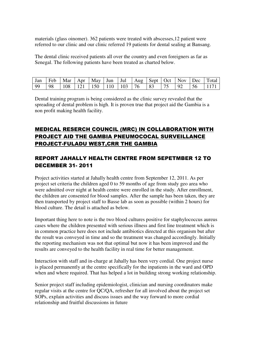materials (glass oinomer). 362 patients were treated with abscesses,12 patient were referred to our clinic and our clinic referred 19 patients for dental sealing at Bansang.

The dental clinic received patients all over the country and even foreigners as far as Senegal. The following patients have been treated as charted below.

|      |    |  |                                                            |  |  |           | Jan   Feb   Mar   Apr   May   Jun   Jul   Aug   Sept   Oct   Nov   Dec   Total |
|------|----|--|------------------------------------------------------------|--|--|-----------|--------------------------------------------------------------------------------|
| - 99 | 98 |  | $108$   $121$   $150$   $110$   $103$   $76$   $83$   $75$ |  |  | $ 92 $ 56 | $\vert$ 1171 $\vert$                                                           |

Dental training program is being considered as the clinic survey revealed that the spreading of dental problem is high. It is proven true that project aid the Gambia is a non profit making health facility.

#### MEDICAL RESERCH COUNCIL (MRC) IN COLLABORATION WITH PROJECT AID THE GAMBIA PNEUMOCOCAL SURVEILLANCE PROJECT-FULADU WEST,CRR THE GAMBIA

#### REPORT JAHALLY HEALTH CENTRE FROM SEPETMBER 12 TO DECEMBER 31- 2011

Project activities started at Jahally health centre from September 12, 2011. As per project set criteria the children aged 0 to 59 months of age from study geo area who were admitted over night at health centre were enrolled in the study. After enrollment, the children are consented for blood samples. After the sample has been taken, they are then transported by project staff to Basse lab as soon as possible (within 2 hours) for blood culture. The detail is attached as below.

Important thing here to note is the two blood cultures positive for staphylococcus aureus cases where the children presented with serious illness and first line treatment which is in common practice here does not include antibiotics directed at this organism but after the result was conveyed in time and so the treatment was changed accordingly. Initially the reporting mechanism was not that optimal but now it has been improved and the results are conveyed to the health facility in real time for better management.

Interaction with staff and in-charge at Jahally has been very cordial. One project nurse is placed permanently at the centre specifically for the inpatients in the ward and OPD when and where required. That has helped a lot in building strong working relationship.

Senior project staff including epidemiologist, clinician and nursing coordinators make regular visits at the centre for QC/QA, refresher for all involved about the project set SOPs, explain activities and discuss issues and the way forward to more cordial relationship and fruitful discussions in future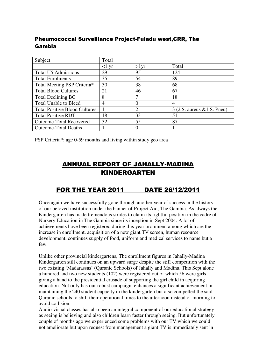#### Pheumococcal Surveillance Project-Fuladu west,CRR, The Gambia

| Subject                              | Total           |                |                               |
|--------------------------------------|-----------------|----------------|-------------------------------|
|                                      | $<1 \text{ yr}$ | $>1$ yr        | Total                         |
| <b>Total U5 Admissions</b>           | 29              | 95             | 124                           |
| <b>Total Enrolments</b>              | 35              | 54             | 89                            |
| Total Meeting PSP Criteria*          | 30              | 38             | 68                            |
| <b>Total Blood Cultures</b>          | 21              | 46             | 67                            |
| <b>Total Declining BC</b>            | 8               |                | 18                            |
| <b>Total Unable to Bleed</b>         | 4               |                | $\overline{4}$                |
| <b>Total Positive Blood Cultures</b> |                 | $\overline{c}$ | $3(2 S. aureus \& 1 S. Pneu)$ |
| <b>Total Positive RDT</b>            | 18              | 33             | 51                            |
| <b>Outcome-Total Recovered</b>       | 32              | 55             | 87                            |
| <b>Outcome-Total Deaths</b>          |                 |                |                               |

PSP Criteria\*: age 0-59 months and living within study geo area

### ANNUAL REPORT OF JAHALLY-MADINA KINDERGARTEN

### FOR THE YEAR 2011 DATE 26/12/2011

Once again we have successfully gone through another year of success in the history of our beloved institution under the banner of Project Aid, The Gambia. As always the Kindergarten has made tremendous strides to claim its rightful position in the cadre of Nursery Education in The Gambia since its inception in Sept 2004. A lot of achievements have been registered during this year prominent among which are the increase in enrollment, acquisition of a new giant TV screen, human resource development, continues supply of food, uniform and medical services to name but a few.

Unlike other provincial kindergartens, The enrollment figures in Jahally-Madina Kindergarten still continues on an upward surge despite the stiff competition with the two existing 'Madarassas' (Quranic Schools) of Jahally and Madina. This Sept alone a hundred and two new students (102) were registered out of which 56 were girls giving a hand to the presidential crusade of supporting the girl child in acquiring education. Not only has our robust campaign enhances a significant achievement in maintaining the 240 student capacity in the kindergarten but also compelled the said Quranic schools to shift their operational times to the afternoon instead of morning to avoid collision.

Audio-visual classes has also been an integral component of our educational strategy as seeing is believing and also children learn faster through seeing. But unfortunately couple of months ago we experienced some problems with our TV which we could not ameliorate but upon request from management a giant TV is immediately sent in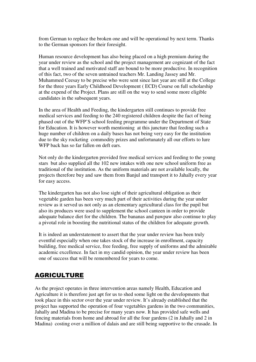from German to replace the broken one and will be operational by next term. Thanks to the German sponsors for their foresight.

Human resource development has also being placed on a high premium during the year under review as the school and the project management are cognizant of the fact that a well trained and motivated staff are bound to be more productive. In recognition of this fact, two of the seven untrained teachers Mr. Landing Jassey and Mr. Muhammed Ceesay to be precise who were sent since last year are still at the College for the three years Early Childhood Development ( ECD) Course on full scholarship at the expend of the Project. Plans are still on the way to send some more eligible candidates in the subsequent years.

In the area of Health and Feeding, the kindergarten still continues to provide free medical services and feeding to the 240 registered children despite the fact of being phased out of the WFP'S school feeding programme under the Department of State for Education. It is however worth mentioning at this juncture that feeding such a huge number of children on a daily bases has not being very easy for the institution due to the sky rocketing commodity prizes and unfortunately all our efforts to lure WFP back has so far fallen on deft ears.

Not only do the kindergarten provided free medical services and feeding to the young stars but also supplied all the 102 new intakes with one new school uniform free as traditional of the institution. As the uniform materials are not available locally, the projects therefore buy and saw them from Banjul and transport it to Jahally every year for easy access.

The kindergarten has not also lose sight of their agricultural obligation as their vegetable garden has been very much part of their activities during the year under review as it served us not only as an elementary agricultural class for the pupil but also its produces were used to supplement the school canteen in order to provide adequate balance diet for the children. The bananas and pawpaw also continue to play a pivotal role in boosting the nutritional status of the children for adequate growth.

It is indeed an understatement to assert that the year under review has been truly eventful especially when one takes stock of the increase in enrollment, capacity building, free medical service, free feeding, free supply of uniforms and the admirable academic excellence. In fact in my candid opinion, the year under review has been one of success that will be remembered for years to come.

#### AGRICULTURE

As the project operates in three intervention areas namely Health, Education and Agriculture it is therefore just apt for us to shed some light on the developments that took place in this sector over the year under review. It's already established that the project has supported the operation of four vegetables gardens in the two communities, Jahally and Madina to be precise for many years now. It has provided safe wells and fencing materials from home and abroad for all the four gardens (2 in Jahally and 2 in Madina) costing over a million of dalais and are still being supportive to the crusade. In